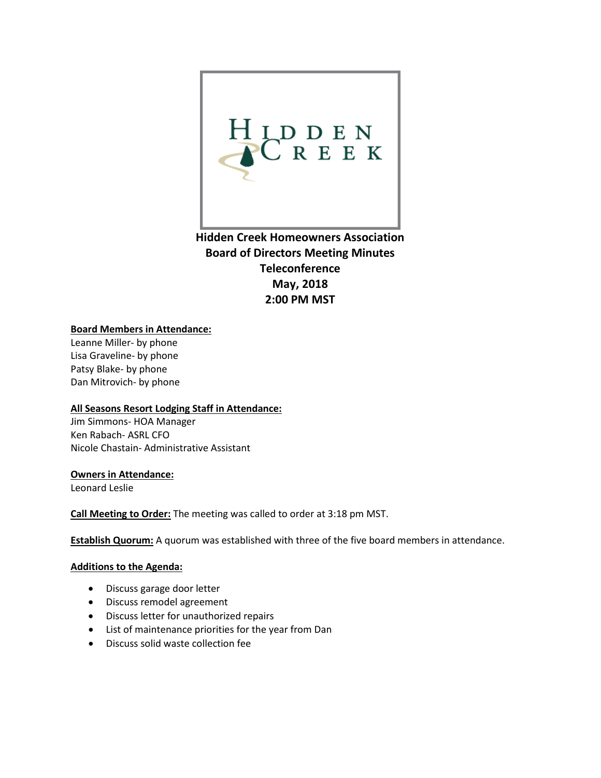

**Hidden Creek Homeowners Association Board of Directors Meeting Minutes Teleconference May, 2018 2:00 PM MST** 

## **Board Members in Attendance:**

Leanne Miller- by phone Lisa Graveline- by phone Patsy Blake- by phone Dan Mitrovich- by phone

## **All Seasons Resort Lodging Staff in Attendance:**

Jim Simmons- HOA Manager Ken Rabach- ASRL CFO Nicole Chastain- Administrative Assistant

## **Owners in Attendance:**

Leonard Leslie

**Call Meeting to Order:** The meeting was called to order at 3:18 pm MST.

**Establish Quorum:** A quorum was established with three of the five board members in attendance.

## **Additions to the Agenda:**

- Discuss garage door letter
- Discuss remodel agreement
- Discuss letter for unauthorized repairs
- List of maintenance priorities for the year from Dan
- Discuss solid waste collection fee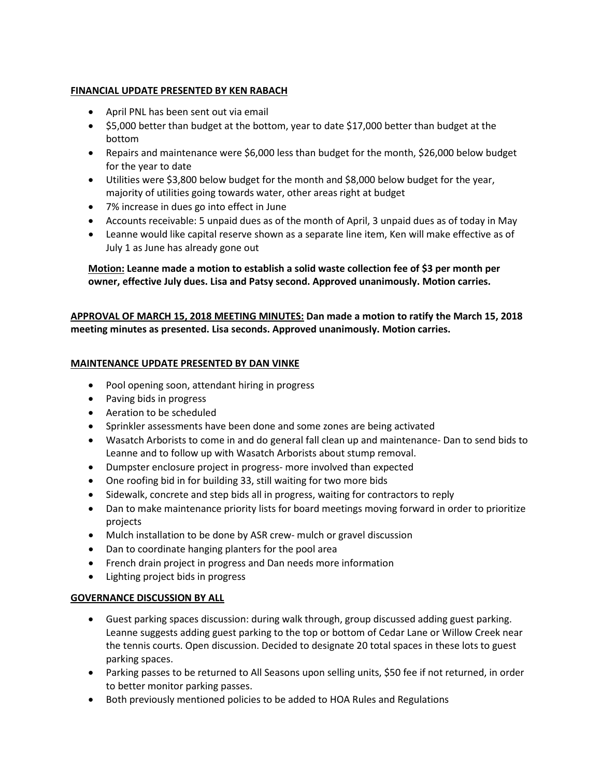## **FINANCIAL UPDATE PRESENTED BY KEN RABACH**

- April PNL has been sent out via email
- \$5,000 better than budget at the bottom, year to date \$17,000 better than budget at the bottom
- Repairs and maintenance were \$6,000 less than budget for the month, \$26,000 below budget for the year to date
- Utilities were \$3,800 below budget for the month and \$8,000 below budget for the year, majority of utilities going towards water, other areas right at budget
- 7% increase in dues go into effect in June
- Accounts receivable: 5 unpaid dues as of the month of April, 3 unpaid dues as of today in May
- Leanne would like capital reserve shown as a separate line item, Ken will make effective as of July 1 as June has already gone out

**Motion: Leanne made a motion to establish a solid waste collection fee of \$3 per month per owner, effective July dues. Lisa and Patsy second. Approved unanimously. Motion carries.** 

# **APPROVAL OF MARCH 15, 2018 MEETING MINUTES: Dan made a motion to ratify the March 15, 2018 meeting minutes as presented. Lisa seconds. Approved unanimously. Motion carries.**

## **MAINTENANCE UPDATE PRESENTED BY DAN VINKE**

- Pool opening soon, attendant hiring in progress
- Paving bids in progress
- Aeration to be scheduled
- Sprinkler assessments have been done and some zones are being activated
- Wasatch Arborists to come in and do general fall clean up and maintenance- Dan to send bids to Leanne and to follow up with Wasatch Arborists about stump removal.
- Dumpster enclosure project in progress- more involved than expected
- One roofing bid in for building 33, still waiting for two more bids
- Sidewalk, concrete and step bids all in progress, waiting for contractors to reply
- Dan to make maintenance priority lists for board meetings moving forward in order to prioritize projects
- Mulch installation to be done by ASR crew- mulch or gravel discussion
- Dan to coordinate hanging planters for the pool area
- French drain project in progress and Dan needs more information
- Lighting project bids in progress

## **GOVERNANCE DISCUSSION BY ALL**

- Guest parking spaces discussion: during walk through, group discussed adding guest parking. Leanne suggests adding guest parking to the top or bottom of Cedar Lane or Willow Creek near the tennis courts. Open discussion. Decided to designate 20 total spaces in these lots to guest parking spaces.
- Parking passes to be returned to All Seasons upon selling units, \$50 fee if not returned, in order to better monitor parking passes.
- Both previously mentioned policies to be added to HOA Rules and Regulations